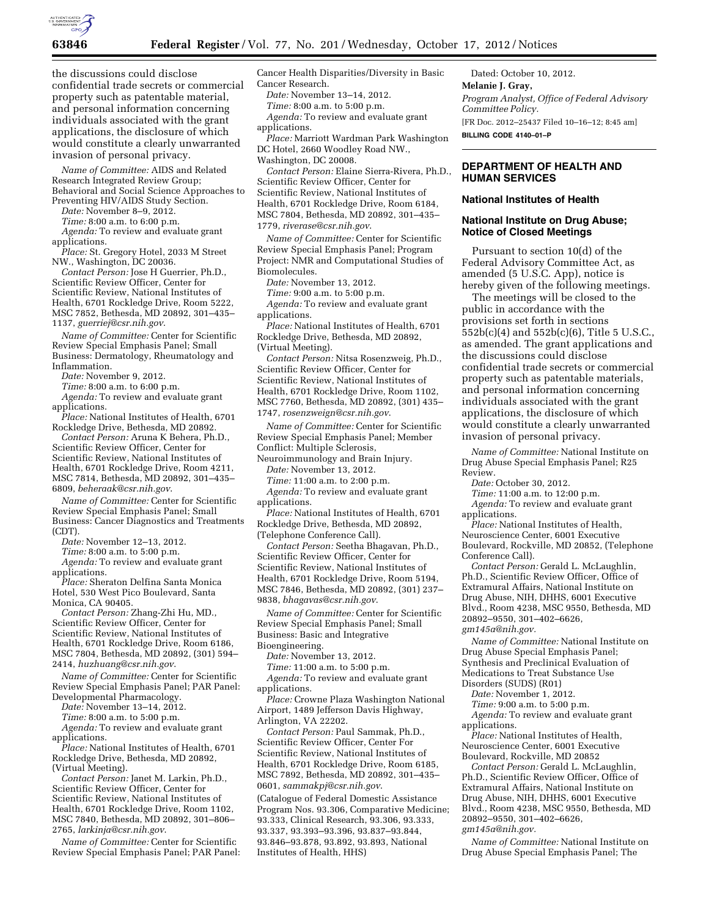

the discussions could disclose confidential trade secrets or commercial property such as patentable material, and personal information concerning individuals associated with the grant applications, the disclosure of which would constitute a clearly unwarranted invasion of personal privacy.

*Name of Committee:* AIDS and Related Research Integrated Review Group; Behavioral and Social Science Approaches to Preventing HIV/AIDS Study Section.

*Date:* November 8–9, 2012.

*Time:* 8:00 a.m. to 6:00 p.m.

*Agenda:* To review and evaluate grant applications.

*Place:* St. Gregory Hotel, 2033 M Street NW., Washington, DC 20036.

*Contact Person:* Jose H Guerrier, Ph.D., Scientific Review Officer, Center for Scientific Review, National Institutes of Health, 6701 Rockledge Drive, Room 5222, MSC 7852, Bethesda, MD 20892, 301–435– 1137, *[guerriej@csr.nih.gov](mailto:guerriej@csr.nih.gov)*.

*Name of Committee:* Center for Scientific Review Special Emphasis Panel; Small Business: Dermatology, Rheumatology and Inflammation.

*Date:* November 9, 2012.

*Time:* 8:00 a.m. to 6:00 p.m.

*Agenda:* To review and evaluate grant applications.

*Place:* National Institutes of Health, 6701 Rockledge Drive, Bethesda, MD 20892. *Contact Person:* Aruna K Behera, Ph.D.,

Scientific Review Officer, Center for Scientific Review, National Institutes of Health, 6701 Rockledge Drive, Room 4211, MSC 7814, Bethesda, MD 20892, 301–435– 6809, *[beheraak@csr.nih.gov](mailto:beheraak@csr.nih.gov)*.

*Name of Committee:* Center for Scientific Review Special Emphasis Panel; Small Business: Cancer Diagnostics and Treatments (CDT).

*Date:* November 12–13, 2012.

*Time:* 8:00 a.m. to 5:00 p.m.

*Agenda:* To review and evaluate grant applications.

*Place:* Sheraton Delfina Santa Monica Hotel, 530 West Pico Boulevard, Santa Monica, CA 90405.

*Contact Person:* Zhang-Zhi Hu, MD., Scientific Review Officer, Center for Scientific Review, National Institutes of Health, 6701 Rockledge Drive, Room 6186, MSC 7804, Bethesda, MD 20892, (301) 594– 2414, *[huzhuang@csr.nih.gov](mailto:huzhuang@csr.nih.gov)*.

*Name of Committee:* Center for Scientific Review Special Emphasis Panel; PAR Panel: Developmental Pharmacology.

*Date:* November 13–14, 2012.

*Time:* 8:00 a.m. to 5:00 p.m.

*Agenda:* To review and evaluate grant applications.

*Place:* National Institutes of Health, 6701 Rockledge Drive, Bethesda, MD 20892, (Virtual Meeting).

*Contact Person:* Janet M. Larkin, Ph.D., Scientific Review Officer, Center for Scientific Review, National Institutes of Health, 6701 Rockledge Drive, Room 1102, MSC 7840, Bethesda, MD 20892, 301–806– 2765, *[larkinja@csr.nih.gov](mailto:larkinja@csr.nih.gov)*.

*Name of Committee:* Center for Scientific Review Special Emphasis Panel; PAR Panel:

Cancer Health Disparities/Diversity in Basic Cancer Research.

*Date:* November 13–14, 2012.

*Time:* 8:00 a.m. to 5:00 p.m. *Agenda:* To review and evaluate grant applications.

*Place:* Marriott Wardman Park Washington DC Hotel, 2660 Woodley Road NW., Washington, DC 20008.

*Contact Person:* Elaine Sierra-Rivera, Ph.D., Scientific Review Officer, Center for Scientific Review, National Institutes of Health, 6701 Rockledge Drive, Room 6184, MSC 7804, Bethesda, MD 20892, 301–435– 1779, *[riverase@csr.nih.gov](mailto:riverase@csr.nih.gov)*.

*Name of Committee:* Center for Scientific Review Special Emphasis Panel; Program Project: NMR and Computational Studies of Biomolecules.

*Date:* November 13, 2012.

*Time:* 9:00 a.m. to 5:00 p.m.

*Agenda:* To review and evaluate grant applications.

*Place:* National Institutes of Health, 6701 Rockledge Drive, Bethesda, MD 20892, (Virtual Meeting).

*Contact Person:* Nitsa Rosenzweig, Ph.D., Scientific Review Officer, Center for Scientific Review, National Institutes of Health, 6701 Rockledge Drive, Room 1102, MSC 7760, Bethesda, MD 20892, (301) 435– 1747, *[rosenzweign@csr.nih.gov](mailto:rosenzweign@csr.nih.gov)*.

*Name of Committee:* Center for Scientific Review Special Emphasis Panel; Member Conflict: Multiple Sclerosis,

Neuroimmunology and Brain Injury.

*Date:* November 13, 2012.

*Time:* 11:00 a.m. to 2:00 p.m.

*Agenda:* To review and evaluate grant applications.

*Place:* National Institutes of Health, 6701 Rockledge Drive, Bethesda, MD 20892, (Telephone Conference Call).

*Contact Person:* Seetha Bhagavan, Ph.D., Scientific Review Officer, Center for Scientific Review, National Institutes of Health, 6701 Rockledge Drive, Room 5194, MSC 7846, Bethesda, MD 20892, (301) 237– 9838, *[bhagavas@csr.nih.gov](mailto:bhagavas@csr.nih.gov)*.

*Name of Committee:* Center for Scientific Review Special Emphasis Panel; Small Business: Basic and Integrative Bioengineering.

*Date:* November 13, 2012.

*Time:* 11:00 a.m. to 5:00 p.m.

*Agenda:* To review and evaluate grant applications.

*Place:* Crowne Plaza Washington National Airport, 1489 Jefferson Davis Highway, Arlington, VA 22202.

*Contact Person:* Paul Sammak, Ph.D., Scientific Review Officer, Center For Scientific Review, National Institutes of Health, 6701 Rockledge Drive, Room 6185, MSC 7892, Bethesda, MD 20892, 301–435– 0601, *[sammakpj@csr.nih.gov](mailto:sammakpj@csr.nih.gov)*.

(Catalogue of Federal Domestic Assistance Program Nos. 93.306, Comparative Medicine; 93.333, Clinical Research, 93.306, 93.333, 93.337, 93.393–93.396, 93.837–93.844, 93.846–93.878, 93.892, 93.893, National Institutes of Health, HHS)

Dated: October 10, 2012. **Melanie J. Gray,**  *Program Analyst, Office of Federal Advisory Committee Policy.*  [FR Doc. 2012–25437 Filed 10–16–12; 8:45 am] **BILLING CODE 4140–01–P** 

# **DEPARTMENT OF HEALTH AND HUMAN SERVICES**

#### **National Institutes of Health**

### **National Institute on Drug Abuse; Notice of Closed Meetings**

Pursuant to section 10(d) of the Federal Advisory Committee Act, as amended (5 U.S.C. App), notice is hereby given of the following meetings.

The meetings will be closed to the public in accordance with the provisions set forth in sections 552b(c)(4) and 552b(c)(6), Title 5 U.S.C., as amended. The grant applications and the discussions could disclose confidential trade secrets or commercial property such as patentable materials, and personal information concerning individuals associated with the grant applications, the disclosure of which would constitute a clearly unwarranted invasion of personal privacy.

*Name of Committee:* National Institute on Drug Abuse Special Emphasis Panel; R25 Review.

*Date:* October 30, 2012.

*Time:* 11:00 a.m. to 12:00 p.m.

*Agenda:* To review and evaluate grant applications.

*Place:* National Institutes of Health, Neuroscience Center, 6001 Executive

Boulevard, Rockville, MD 20852, (Telephone Conference Call).

*Contact Person:* Gerald L. McLaughlin, Ph.D., Scientific Review Officer, Office of Extramural Affairs, National Institute on Drug Abuse, NIH, DHHS, 6001 Executive Blvd., Room 4238, MSC 9550, Bethesda, MD 20892–9550, 301–402–6626, *[gm145a@nih.gov.](mailto:gm145a@nih.gov)* 

*Name of Committee:* National Institute on Drug Abuse Special Emphasis Panel; Synthesis and Preclinical Evaluation of Medications to Treat Substance Use Disorders (SUDS) (R01)

*Date:* November 1, 2012.

*Time:* 9:00 a.m. to 5:00 p.m.

*Agenda:* To review and evaluate grant applications.

*Place:* National Institutes of Health, Neuroscience Center, 6001 Executive Boulevard, Rockville, MD 20852

*Contact Person:* Gerald L. McLaughlin, Ph.D., Scientific Review Officer, Office of Extramural Affairs, National Institute on Drug Abuse, NIH, DHHS, 6001 Executive Blvd., Room 4238, MSC 9550, Bethesda, MD 20892–9550, 301–402–6626, *[gm145a@nih.gov.](mailto:gm145a@nih.gov)* 

*Name of Committee:* National Institute on Drug Abuse Special Emphasis Panel; The